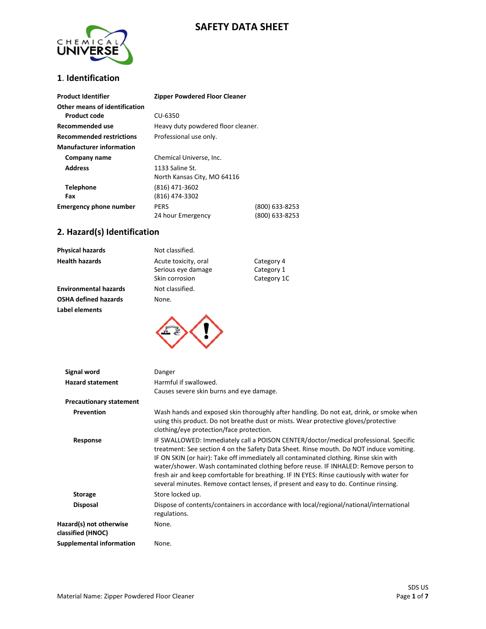# **SAFETY DATA SHEET**



# **1**. **Identification**

| <b>Product Identifier</b>                     | <b>Zipper Powdered Floor Cleaner</b>           |                                  |
|-----------------------------------------------|------------------------------------------------|----------------------------------|
| Other means of identification<br>Product code | CU-6350                                        |                                  |
| Recommended use                               | Heavy duty powdered floor cleaner.             |                                  |
| <b>Recommended restrictions</b>               | Professional use only.                         |                                  |
| <b>Manufacturer information</b>               |                                                |                                  |
| Company name                                  | Chemical Universe, Inc.                        |                                  |
| <b>Address</b>                                | 1133 Saline St.<br>North Kansas City, MO 64116 |                                  |
| <b>Telephone</b><br>Fax                       | (816) 471-3602<br>(816) 474-3302               |                                  |
| <b>Emergency phone number</b>                 | <b>PERS</b><br>24 hour Emergency               | (800) 633-8253<br>(800) 633-8253 |

## **2. Hazard(s) Identification**

| <b>Label elements</b>        |                      |             |
|------------------------------|----------------------|-------------|
| OSHA defined hazards         | None.                |             |
| <b>Environmental hazards</b> | Not classified.      |             |
|                              | Skin corrosion       | Category 1C |
|                              | Serious eye damage   | Category 1  |
| <b>Health hazards</b>        | Acute toxicity, oral | Category 4  |
| Physical hazards             | Not classified.      |             |



| Signal word                                  | Danger                                                                                                                                                                                                                                                                                                                                                                                                                                                                                                                                               |
|----------------------------------------------|------------------------------------------------------------------------------------------------------------------------------------------------------------------------------------------------------------------------------------------------------------------------------------------------------------------------------------------------------------------------------------------------------------------------------------------------------------------------------------------------------------------------------------------------------|
| <b>Hazard statement</b>                      | Harmful if swallowed.                                                                                                                                                                                                                                                                                                                                                                                                                                                                                                                                |
|                                              | Causes severe skin burns and eye damage.                                                                                                                                                                                                                                                                                                                                                                                                                                                                                                             |
| <b>Precautionary statement</b>               |                                                                                                                                                                                                                                                                                                                                                                                                                                                                                                                                                      |
| Prevention                                   | Wash hands and exposed skin thoroughly after handling. Do not eat, drink, or smoke when<br>using this product. Do not breathe dust or mists. Wear protective gloves/protective<br>clothing/eye protection/face protection.                                                                                                                                                                                                                                                                                                                           |
| Response                                     | IF SWALLOWED: Immediately call a POISON CENTER/doctor/medical professional. Specific<br>treatment: See section 4 on the Safety Data Sheet. Rinse mouth. Do NOT induce vomiting.<br>IF ON SKIN (or hair): Take off immediately all contaminated clothing. Rinse skin with<br>water/shower. Wash contaminated clothing before reuse. IF INHALED: Remove person to<br>fresh air and keep comfortable for breathing. IF IN EYES: Rinse cautiously with water for<br>several minutes. Remove contact lenses, if present and easy to do. Continue rinsing. |
| <b>Storage</b>                               | Store locked up.                                                                                                                                                                                                                                                                                                                                                                                                                                                                                                                                     |
| <b>Disposal</b>                              | Dispose of contents/containers in accordance with local/regional/national/international<br>regulations.                                                                                                                                                                                                                                                                                                                                                                                                                                              |
| Hazard(s) not otherwise<br>classified (HNOC) | None.                                                                                                                                                                                                                                                                                                                                                                                                                                                                                                                                                |
| <b>Supplemental information</b>              | None.                                                                                                                                                                                                                                                                                                                                                                                                                                                                                                                                                |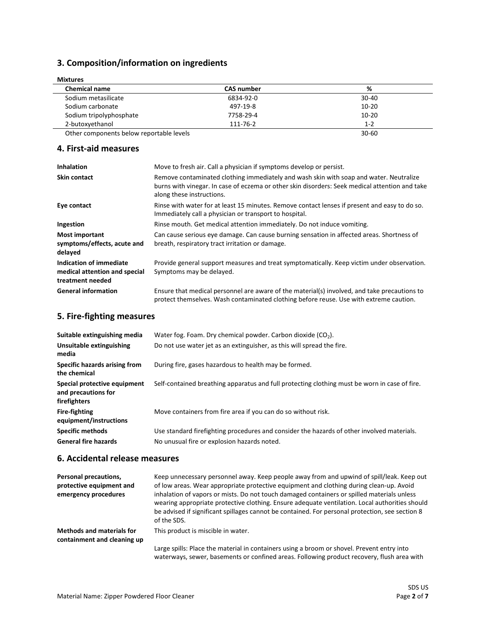# **3. Composition/information on ingredients**

| <b>Mixtures</b>         |                   |           |  |
|-------------------------|-------------------|-----------|--|
| <b>Chemical name</b>    | <b>CAS number</b> | %         |  |
| Sodium metasilicate     | 6834-92-0         | $30 - 40$ |  |
| Sodium carbonate        | 497-19-8          | $10 - 20$ |  |
| Sodium tripolyphosphate | 7758-29-4         | $10 - 20$ |  |
| 2-butoxyethanol         | 111-76-2          | $1 - 2$   |  |
|                         |                   |           |  |

Other components below reportable levels 30-60

### **4. First-aid measures**

| <b>Inhalation</b>                                                            | Move to fresh air. Call a physician if symptoms develop or persist.                                                                                                                                                   |
|------------------------------------------------------------------------------|-----------------------------------------------------------------------------------------------------------------------------------------------------------------------------------------------------------------------|
| <b>Skin contact</b>                                                          | Remove contaminated clothing immediately and wash skin with soap and water. Neutralize<br>burns with vinegar. In case of eczema or other skin disorders: Seek medical attention and take<br>along these instructions. |
| Eye contact                                                                  | Rinse with water for at least 15 minutes. Remove contact lenses if present and easy to do so.<br>Immediately call a physician or transport to hospital.                                                               |
| Ingestion                                                                    | Rinse mouth. Get medical attention immediately. Do not induce vomiting.                                                                                                                                               |
| <b>Most important</b><br>symptoms/effects, acute and<br>delayed              | Can cause serious eye damage. Can cause burning sensation in affected areas. Shortness of<br>breath, respiratory tract irritation or damage.                                                                          |
| Indication of immediate<br>medical attention and special<br>treatment needed | Provide general support measures and treat symptomatically. Keep victim under observation.<br>Symptoms may be delayed.                                                                                                |
| <b>General information</b>                                                   | Ensure that medical personnel are aware of the material(s) involved, and take precautions to<br>protect themselves. Wash contaminated clothing before reuse. Use with extreme caution.                                |

# **5. Fire-fighting measures**

| Suitable extinguishing media                                        | Water fog. Foam. Dry chemical powder. Carbon dioxide $(CO2)$ .                                |
|---------------------------------------------------------------------|-----------------------------------------------------------------------------------------------|
| Unsuitable extinguishing<br>media                                   | Do not use water jet as an extinguisher, as this will spread the fire.                        |
| Specific hazards arising from<br>the chemical                       | During fire, gases hazardous to health may be formed.                                         |
| Special protective equipment<br>and precautions for<br>firefighters | Self-contained breathing apparatus and full protecting clothing must be worn in case of fire. |
| <b>Fire-fighting</b><br>equipment/instructions                      | Move containers from fire area if you can do so without risk.                                 |
| <b>Specific methods</b>                                             | Use standard firefighting procedures and consider the hazards of other involved materials.    |
| <b>General fire hazards</b>                                         | No unusual fire or explosion hazards noted.                                                   |

#### **6. Accidental release measures**

| Personal precautions,<br>protective equipment and<br>emergency procedures | Keep unnecessary personnel away. Keep people away from and upwind of spill/leak. Keep out<br>of low areas. Wear appropriate protective equipment and clothing during clean-up. Avoid<br>inhalation of vapors or mists. Do not touch damaged containers or spilled materials unless<br>wearing appropriate protective clothing. Ensure adequate ventilation. Local authorities should<br>be advised if significant spillages cannot be contained. For personal protection, see section 8<br>of the SDS. |
|---------------------------------------------------------------------------|--------------------------------------------------------------------------------------------------------------------------------------------------------------------------------------------------------------------------------------------------------------------------------------------------------------------------------------------------------------------------------------------------------------------------------------------------------------------------------------------------------|
| <b>Methods and materials for</b><br>containment and cleaning up           | This product is miscible in water.                                                                                                                                                                                                                                                                                                                                                                                                                                                                     |
|                                                                           | Large spills: Place the material in containers using a broom or shovel. Prevent entry into<br>waterways, sewer, basements or confined areas. Following product recovery, flush area with                                                                                                                                                                                                                                                                                                               |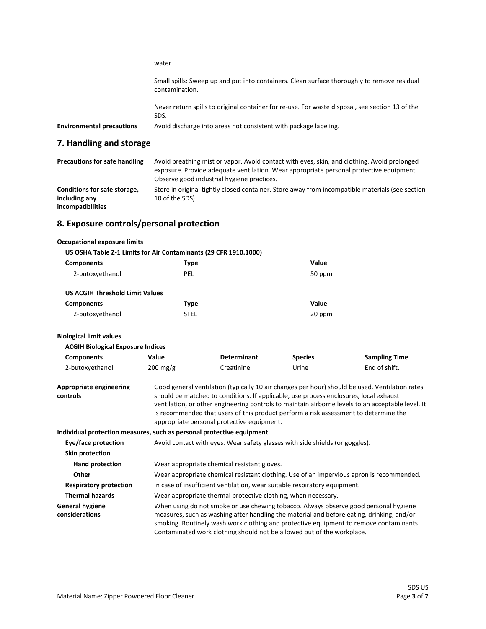water.

Small spills: Sweep up and put into containers. Clean surface thoroughly to remove residual contamination.

Never return spills to original container for re-use. For waste disposal, see section 13 of the SDS.

| <b>Environmental precautions</b> | Avoid discharge into areas not consistent with package labeling. |  |
|----------------------------------|------------------------------------------------------------------|--|
|----------------------------------|------------------------------------------------------------------|--|

## **7. Handling and storage**

| <b>Precautions for safe handling</b> | Avoid breathing mist or vapor. Avoid contact with eyes, skin, and clothing. Avoid prolonged<br>exposure. Provide adequate ventilation. Wear appropriate personal protective equipment.<br>Observe good industrial hygiene practices. |
|--------------------------------------|--------------------------------------------------------------------------------------------------------------------------------------------------------------------------------------------------------------------------------------|
| Conditions for safe storage,         | Store in original tightly closed container. Store away from incompatible materials (see section                                                                                                                                      |
| including any                        | 10 of the SDS).                                                                                                                                                                                                                      |
| incompatibilities                    |                                                                                                                                                                                                                                      |

# **8. Exposure controls/personal protection**

#### **Occupational exposure limits**

| US OSHA Table Z-1 Limits for Air Contaminants (29 CFR 1910.1000)      |                                                                                                                                                                                                                                                                                                                                                                                                                                    |                                                                              |                |                      |  |
|-----------------------------------------------------------------------|------------------------------------------------------------------------------------------------------------------------------------------------------------------------------------------------------------------------------------------------------------------------------------------------------------------------------------------------------------------------------------------------------------------------------------|------------------------------------------------------------------------------|----------------|----------------------|--|
| <b>Components</b>                                                     | <b>Type</b>                                                                                                                                                                                                                                                                                                                                                                                                                        |                                                                              | Value          |                      |  |
| 2-butoxyethanol                                                       | PEL                                                                                                                                                                                                                                                                                                                                                                                                                                |                                                                              | 50 ppm         |                      |  |
| <b>US ACGIH Threshold Limit Values</b>                                |                                                                                                                                                                                                                                                                                                                                                                                                                                    |                                                                              |                |                      |  |
| <b>Components</b>                                                     | <b>Type</b>                                                                                                                                                                                                                                                                                                                                                                                                                        |                                                                              | Value          |                      |  |
| 2-butoxyethanol                                                       | <b>STEL</b>                                                                                                                                                                                                                                                                                                                                                                                                                        |                                                                              | 20 ppm         |                      |  |
| <b>Biological limit values</b>                                        |                                                                                                                                                                                                                                                                                                                                                                                                                                    |                                                                              |                |                      |  |
| <b>ACGIH Biological Exposure Indices</b>                              |                                                                                                                                                                                                                                                                                                                                                                                                                                    |                                                                              |                |                      |  |
| <b>Components</b>                                                     | Value                                                                                                                                                                                                                                                                                                                                                                                                                              | <b>Determinant</b>                                                           | <b>Species</b> | <b>Sampling Time</b> |  |
| 2-butoxyethanol                                                       | $200 \text{ mg/g}$                                                                                                                                                                                                                                                                                                                                                                                                                 | Creatinine                                                                   | Urine          | End of shift.        |  |
| <b>Appropriate engineering</b><br>controls                            | Good general ventilation (typically 10 air changes per hour) should be used. Ventilation rates<br>should be matched to conditions. If applicable, use process enclosures, local exhaust<br>ventilation, or other engineering controls to maintain airborne levels to an acceptable level. It<br>is recommended that users of this product perform a risk assessment to determine the<br>appropriate personal protective equipment. |                                                                              |                |                      |  |
| Individual protection measures, such as personal protective equipment |                                                                                                                                                                                                                                                                                                                                                                                                                                    |                                                                              |                |                      |  |
| Eye/face protection                                                   |                                                                                                                                                                                                                                                                                                                                                                                                                                    | Avoid contact with eyes. Wear safety glasses with side shields (or goggles). |                |                      |  |
| Skin protection                                                       |                                                                                                                                                                                                                                                                                                                                                                                                                                    |                                                                              |                |                      |  |
| <b>Hand protection</b>                                                | Wear appropriate chemical resistant gloves.                                                                                                                                                                                                                                                                                                                                                                                        |                                                                              |                |                      |  |
| Other                                                                 | Wear appropriate chemical resistant clothing. Use of an impervious apron is recommended.                                                                                                                                                                                                                                                                                                                                           |                                                                              |                |                      |  |
| <b>Respiratory protection</b>                                         | In case of insufficient ventilation, wear suitable respiratory equipment.                                                                                                                                                                                                                                                                                                                                                          |                                                                              |                |                      |  |
| <b>Thermal hazards</b>                                                |                                                                                                                                                                                                                                                                                                                                                                                                                                    | Wear appropriate thermal protective clothing, when necessary.                |                |                      |  |
| <b>General hygiene</b><br>considerations                              | When using do not smoke or use chewing tobacco. Always observe good personal hygiene<br>measures, such as washing after handling the material and before eating, drinking, and/or<br>smoking. Routinely wash work clothing and protective equipment to remove contaminants.<br>Contaminated work clothing should not be allowed out of the workplace.                                                                              |                                                                              |                |                      |  |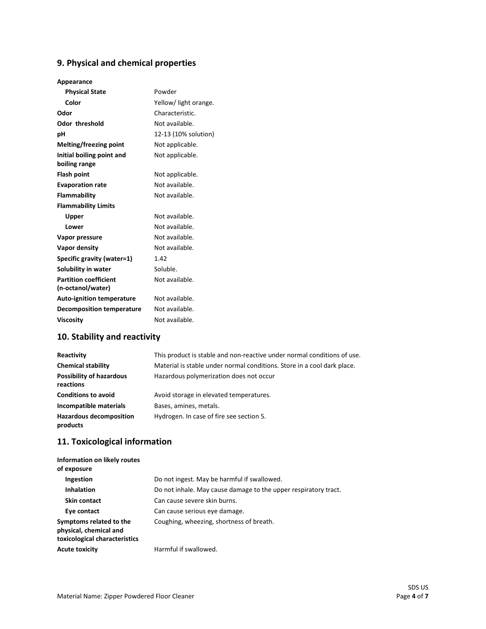# **9. Physical and chemical properties**

#### **Appearance**

| <b>Physical State</b>                      | Powder               |
|--------------------------------------------|----------------------|
|                                            |                      |
| Color                                      | Yellow/light orange. |
| Odor                                       | Characteristic.      |
| <b>Odor threshold</b>                      | Not available.       |
| рH                                         | 12-13 (10% solution) |
| Melting/freezing point                     | Not applicable.      |
| Initial boiling point and<br>boiling range | Not applicable.      |
| <b>Flash point</b>                         | Not applicable.      |
| <b>Evaporation rate</b>                    | Not available.       |
| Flammability                               | Not available.       |
| <b>Flammability Limits</b>                 |                      |
| Upper                                      | Not available.       |
| Lower                                      | Not available.       |
| Vapor pressure                             | Not available.       |
| Vapor density                              | Not available.       |
| Specific gravity (water=1)                 | 1.42                 |
| Solubility in water                        | Soluble.             |
| <b>Partition coefficient</b>               | Not available.       |
| (n-octanol/water)                          |                      |
| <b>Auto-ignition temperature</b>           | Not available.       |
| <b>Decomposition temperature</b>           | Not available.       |
| <b>Viscosity</b>                           | Not available.       |

# **10. Stability and reactivity**

| Reactivity                                   | This product is stable and non-reactive under normal conditions of use. |
|----------------------------------------------|-------------------------------------------------------------------------|
| <b>Chemical stability</b>                    | Material is stable under normal conditions. Store in a cool dark place. |
| <b>Possibility of hazardous</b><br>reactions | Hazardous polymerization does not occur                                 |
| <b>Conditions to avoid</b>                   | Avoid storage in elevated temperatures.                                 |
| Incompatible materials                       | Bases, amines, metals.                                                  |
| <b>Hazardous decomposition</b><br>products   | Hydrogen. In case of fire see section 5.                                |

# **11. Toxicological information**

| Information on likely routes<br>of exposure                                        |                                                                 |
|------------------------------------------------------------------------------------|-----------------------------------------------------------------|
| Ingestion                                                                          | Do not ingest. May be harmful if swallowed.                     |
| <b>Inhalation</b>                                                                  | Do not inhale. May cause damage to the upper respiratory tract. |
| Skin contact                                                                       | Can cause severe skin burns.                                    |
| Eye contact                                                                        | Can cause serious eye damage.                                   |
| Symptoms related to the<br>physical, chemical and<br>toxicological characteristics | Coughing, wheezing, shortness of breath.                        |
| <b>Acute toxicity</b>                                                              | Harmful if swallowed.                                           |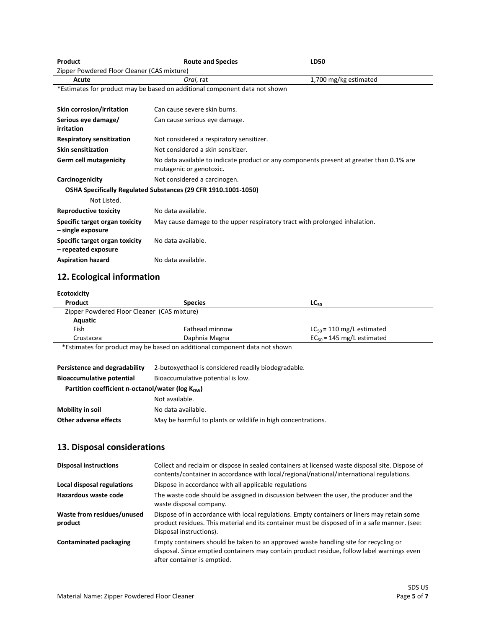| Product                                                                    | <b>Route and Species</b>                                                                 | <b>LD50</b>           |
|----------------------------------------------------------------------------|------------------------------------------------------------------------------------------|-----------------------|
| Zipper Powdered Floor Cleaner (CAS mixture)                                |                                                                                          |                       |
| Acute                                                                      | Oral, rat                                                                                | 1,700 mg/kg estimated |
| *Estimates for product may be based on additional component data not shown |                                                                                          |                       |
|                                                                            |                                                                                          |                       |
| <b>Skin corrosion/irritation</b>                                           | Can cause severe skin burns.                                                             |                       |
| Serious eye damage/                                                        | Can cause serious eye damage.                                                            |                       |
| irritation                                                                 |                                                                                          |                       |
| <b>Respiratory sensitization</b>                                           | Not considered a respiratory sensitizer.                                                 |                       |
| <b>Skin sensitization</b>                                                  | Not considered a skin sensitizer.                                                        |                       |
| <b>Germ cell mutagenicity</b>                                              | No data available to indicate product or any components present at greater than 0.1% are |                       |
|                                                                            | mutagenic or genotoxic.                                                                  |                       |
| Carcinogenicity                                                            | Not considered a carcinogen.                                                             |                       |
|                                                                            | OSHA Specifically Regulated Substances (29 CFR 1910.1001-1050)                           |                       |
| Not Listed.                                                                |                                                                                          |                       |
| <b>Reproductive toxicity</b>                                               | No data available.                                                                       |                       |
| Specific target organ toxicity                                             | May cause damage to the upper respiratory tract with prolonged inhalation.               |                       |
| - single exposure                                                          |                                                                                          |                       |
| Specific target organ toxicity                                             | No data available.                                                                       |                       |
| - repeated exposure                                                        |                                                                                          |                       |
| <b>Aspiration hazard</b>                                                   | No data available.                                                                       |                       |
|                                                                            |                                                                                          |                       |

# **12. Ecological information**

| <b>Species</b>                                                             | $LC_{50}$                      |
|----------------------------------------------------------------------------|--------------------------------|
| Zipper Powdered Floor Cleaner (CAS mixture)                                |                                |
|                                                                            |                                |
| Fathead minnow                                                             | $LC_{50}$ = 110 mg/L estimated |
| Daphnia Magna                                                              | $EC_{50}$ = 145 mg/L estimated |
| *Estimates for product may be based on additional component data not shown |                                |
|                                                                            |                                |
| 2-butoxyethaol is considered readily biodegradable.                        |                                |
| Bioaccumulative potential is low.                                          |                                |
|                                                                            |                                |

| Partition coefficient n-octanol/water ( $log K_{\text{OW}}$ ) |                                                              |
|---------------------------------------------------------------|--------------------------------------------------------------|
|                                                               | Not available.                                               |
| Mobility in soil                                              | No data available.                                           |
| Other adverse effects                                         | May be harmful to plants or wildlife in high concentrations. |

# **13. Disposal considerations**

| <b>Disposal instructions</b>          | Collect and reclaim or dispose in sealed containers at licensed waste disposal site. Dispose of<br>contents/container in accordance with local/regional/national/international regulations.                             |
|---------------------------------------|-------------------------------------------------------------------------------------------------------------------------------------------------------------------------------------------------------------------------|
| Local disposal regulations            | Dispose in accordance with all applicable regulations                                                                                                                                                                   |
| Hazardous waste code                  | The waste code should be assigned in discussion between the user, the producer and the<br>waste disposal company.                                                                                                       |
| Waste from residues/unused<br>product | Dispose of in accordance with local regulations. Empty containers or liners may retain some<br>product residues. This material and its container must be disposed of in a safe manner. (see:<br>Disposal instructions). |
| <b>Contaminated packaging</b>         | Empty containers should be taken to an approved waste handling site for recycling or<br>disposal. Since emptied containers may contain product residue, follow label warnings even<br>after container is emptied.       |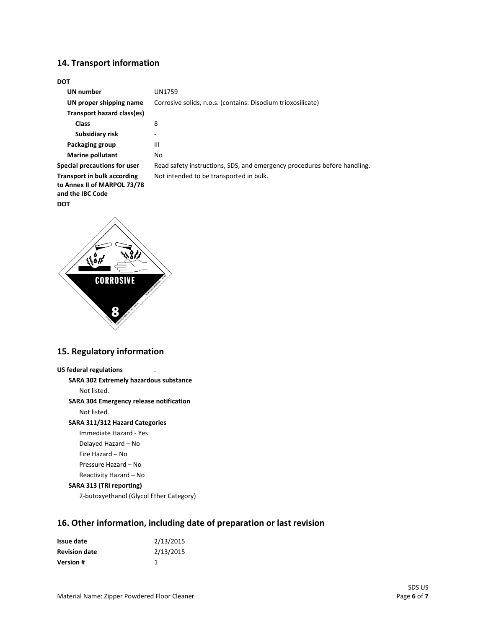### **14. Transport information**

#### **DOT**

| <b>UN number</b>                                                                      | UN1759                                                                   |
|---------------------------------------------------------------------------------------|--------------------------------------------------------------------------|
| UN proper shipping name                                                               | Corrosive solids, n.o.s. (contains: Disodium trioxosilicate)             |
| Transport hazard class(es)                                                            |                                                                          |
| <b>Class</b>                                                                          | 8                                                                        |
| Subsidiary risk                                                                       |                                                                          |
| Packaging group                                                                       | Ш                                                                        |
| Marine pollutant                                                                      | No                                                                       |
| Special precautions for user                                                          | Read safety instructions, SDS, and emergency procedures before handling. |
| <b>Transport in bulk according</b><br>to Annex II of MARPOL 73/78<br>and the IBC Code | Not intended to be transported in bulk.                                  |
| <b>DOT</b>                                                                            |                                                                          |



## **15. Regulatory information**

```
US federal regulations
SARA 302 Extremely hazardous substance
    Not listed.
SARA 304 Emergency release notification
    Not listed.
SARA 311/312 Hazard Categories
    Immediate Hazard - Yes
    Delayed Hazard – No
    Fire Hazard – No
    Pressure Hazard – No
    Reactivity Hazard – No 
SARA 313 (TRI reporting)
    2-butoxyethanol (Glycol Ether Category)
```
# **16. Other information, including date of preparation or last revision**

| Issue date           | 2/13/2015 |
|----------------------|-----------|
| <b>Revision date</b> | 2/13/2015 |
| <b>Version</b> #     |           |